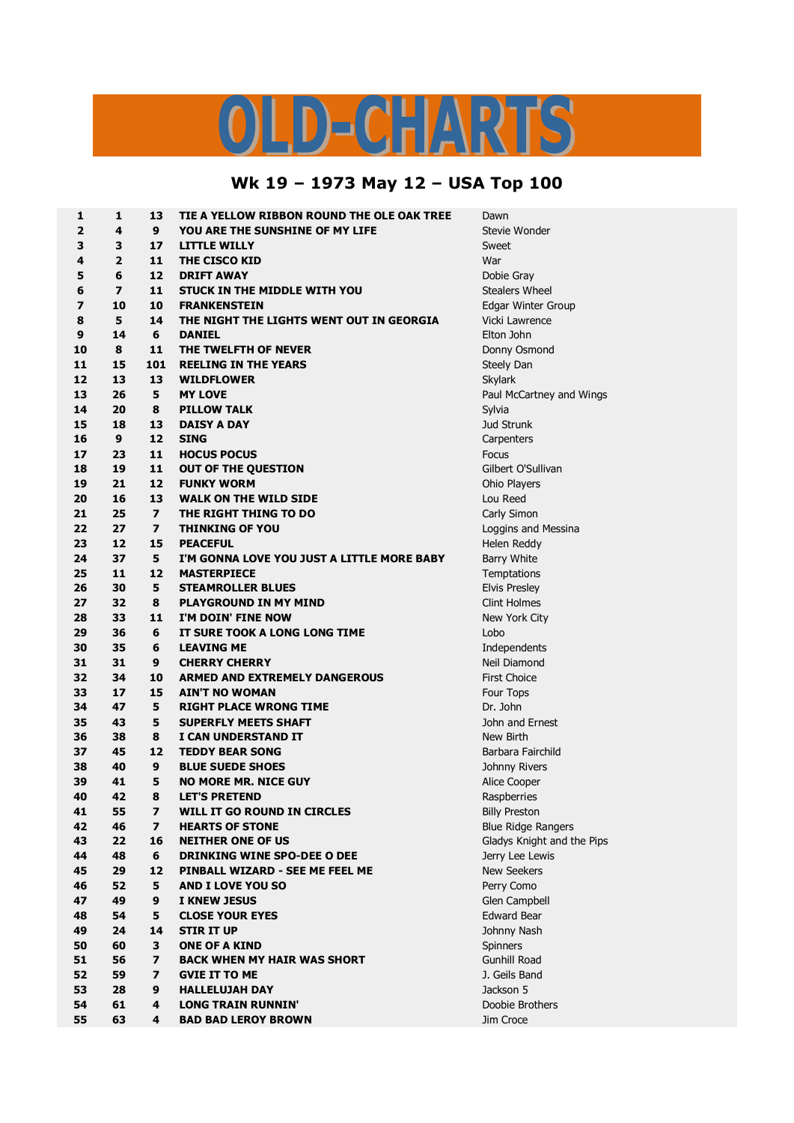## LD-CHARTS

## **Wk 19 – 1973 May 12 – USA Top 100**

| 1              | 1                        | 13                      | TIE A YELLOW RIBBON ROUND THE OLE OAK TREE | Dawn                       |
|----------------|--------------------------|-------------------------|--------------------------------------------|----------------------------|
| $\overline{2}$ | 4                        | 9                       | YOU ARE THE SUNSHINE OF MY LIFE            | Stevie Wonder              |
| 3              | 3                        | 17                      | <b>LITTLE WILLY</b>                        | Sweet                      |
| 4              | $\overline{2}$           | 11                      | THE CISCO KID                              | War                        |
| 5              | 6                        | 12                      | <b>DRIFT AWAY</b>                          | Dobie Gray                 |
| 6              | $\overline{\phantom{a}}$ | 11                      | <b>STUCK IN THE MIDDLE WITH YOU</b>        | <b>Stealers Wheel</b>      |
| 7              | 10                       | 10                      | <b>FRANKENSTEIN</b>                        | Edgar Winter Group         |
| 8              | 5                        | 14                      | THE NIGHT THE LIGHTS WENT OUT IN GEORGIA   | Vicki Lawrence             |
| 9              | 14                       | 6                       | <b>DANIEL</b>                              | Elton John                 |
| 10             | 8                        | 11                      | THE TWELFTH OF NEVER                       |                            |
| 11             | 15                       | 101                     | <b>REELING IN THE YEARS</b>                | Donny Osmond               |
| 12             | 13                       | 13                      | <b>WILDFLOWER</b>                          | Steely Dan                 |
| 13             | 26                       | 5                       |                                            | Skylark                    |
|                |                          |                         | <b>MY LOVE</b>                             | Paul McCartney and Wings   |
| 14             | 20                       | 8                       | <b>PILLOW TALK</b>                         | Sylvia                     |
| 15             | 18                       | 13                      | <b>DAISY A DAY</b>                         | Jud Strunk                 |
| 16             | 9                        | 12                      | <b>SING</b>                                | Carpenters                 |
| 17             | 23                       | 11                      | <b>HOCUS POCUS</b>                         | Focus                      |
| 18             | 19                       | 11                      | <b>OUT OF THE QUESTION</b>                 | Gilbert O'Sullivan         |
| 19             | 21                       | 12                      | <b>FUNKY WORM</b>                          | Ohio Players               |
| 20             | 16                       | 13                      | <b>WALK ON THE WILD SIDE</b>               | Lou Reed                   |
| 21             | 25                       | $\overline{\mathbf{z}}$ | THE RIGHT THING TO DO                      | Carly Simon                |
| 22             | 27                       | $\overline{ }$          | <b>THINKING OF YOU</b>                     | Loggins and Messina        |
| 23             | 12                       | 15                      | <b>PEACEFUL</b>                            | Helen Reddy                |
| 24             | 37                       | 5                       | I'M GONNA LOVE YOU JUST A LITTLE MORE BABY | Barry White                |
| 25             | 11                       | 12                      | <b>MASTERPIECE</b>                         | Temptations                |
| 26             | 30                       | 5                       | <b>STEAMROLLER BLUES</b>                   | <b>Elvis Presley</b>       |
| 27             | 32                       | 8                       | <b>PLAYGROUND IN MY MIND</b>               | <b>Clint Holmes</b>        |
| 28             | 33                       | 11                      | I'M DOIN' FINE NOW                         | New York City              |
| 29             | 36                       | 6                       | IT SURE TOOK A LONG LONG TIME              | Lobo                       |
| 30             | 35                       | 6                       | <b>LEAVING ME</b>                          | Independents               |
| 31             | 31                       | 9                       | <b>CHERRY CHERRY</b>                       | Neil Diamond               |
| 32             | 34                       | 10                      | <b>ARMED AND EXTREMELY DANGEROUS</b>       | <b>First Choice</b>        |
| 33             | 17                       | 15                      | <b>AIN'T NO WOMAN</b>                      | Four Tops                  |
| 34             | 47                       | 5                       | <b>RIGHT PLACE WRONG TIME</b>              | Dr. John                   |
| 35             | 43                       | 5                       | <b>SUPERFLY MEETS SHAFT</b>                | John and Ernest            |
| 36             | 38                       | 8                       | I CAN UNDERSTAND IT                        | New Birth                  |
| 37             | 45                       | 12                      | <b>TEDDY BEAR SONG</b>                     | Barbara Fairchild          |
| 38             | 40                       | 9                       | <b>BLUE SUEDE SHOES</b>                    | Johnny Rivers              |
| 39             | 41                       | 5                       | <b>NO MORE MR. NICE GUY</b>                | Alice Cooper               |
| 40             | 42                       | 8                       | <b>LET'S PRETEND</b>                       | Raspberries                |
| 41             | 55                       | 7                       | <b>WILL IT GO ROUND IN CIRCLES</b>         | <b>Billy Preston</b>       |
| 42             | 46                       | $\overline{ }$          | <b>HEARTS OF STONE</b>                     | <b>Blue Ridge Rangers</b>  |
| 43             | 22                       | 16                      | <b>NEITHER ONE OF US</b>                   | Gladys Knight and the Pips |
| 44             | 48                       | 6                       | <b>DRINKING WINE SPO-DEE O DEE</b>         | Jerry Lee Lewis            |
| 45             | 29                       | 12                      | PINBALL WIZARD - SEE ME FEEL ME            | <b>New Seekers</b>         |
| 46             | 52                       | 5                       | <b>AND I LOVE YOU SO</b>                   | Perry Como                 |
| 47             | 49                       | 9                       | I KNEW JESUS                               | Glen Campbell              |
| 48             | 54                       | 5                       | <b>CLOSE YOUR EYES</b>                     | <b>Edward Bear</b>         |
| 49             | 24                       | 14                      | <b>STIR IT UP</b>                          | Johnny Nash                |
| 50             | 60                       | 3                       | <b>ONE OF A KIND</b>                       | Spinners                   |
| 51             | 56                       | $\overline{ }$          | <b>BACK WHEN MY HAIR WAS SHORT</b>         | <b>Gunhill Road</b>        |
| 52             | 59                       | $\overline{ }$          | <b>GVIE IT TO ME</b>                       | J. Geils Band              |
| 53             | 28                       | 9                       | <b>HALLELUJAH DAY</b>                      | Jackson 5                  |
| 54             | 61                       | 4                       | <b>LONG TRAIN RUNNIN'</b>                  | Doobie Brothers            |
| 55             | 63                       | 4                       | <b>BAD BAD LEROY BROWN</b>                 | Jim Croce                  |
|                |                          |                         |                                            |                            |